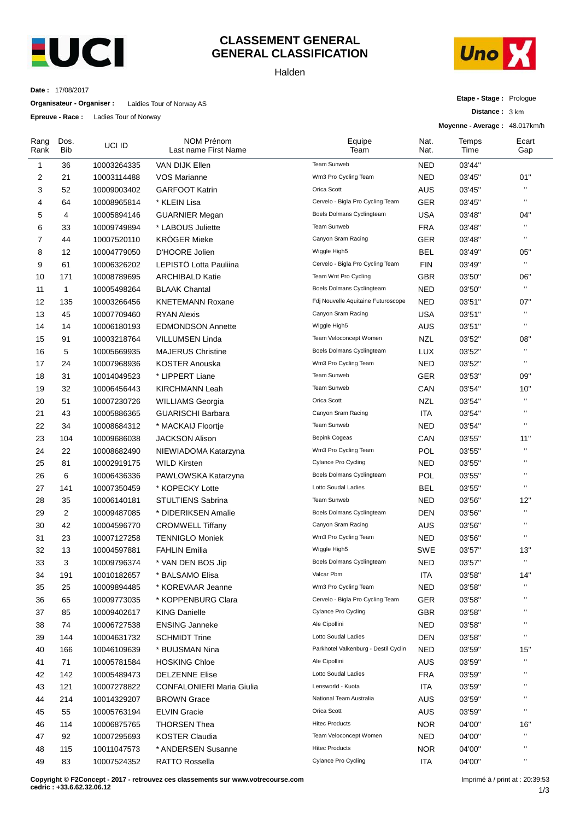

## **CLASSEMENT GENERAL GENERAL CLASSIFICATION**

Halden



**Etape - Stage :** Prologue

**Distance :** 3 km

**Date :** 17/08/2017

**Organisateur - Organiser :** Laidies Tour of Norway AS

**Epreuve - Race :** Ladies Tour of Norway

|              |             |                            |                                           |                                      | Moyenne - Average: 48.017km/h |               |              |  |
|--------------|-------------|----------------------------|-------------------------------------------|--------------------------------------|-------------------------------|---------------|--------------|--|
| Rang<br>Rank | Dos.<br>Bib | UCI ID                     | <b>NOM Prénom</b><br>Last name First Name | Equipe<br>Team                       | Nat.<br>Nat.                  | Temps<br>Time | Ecart<br>Gap |  |
| 1            | 36          | 10003264335                | VAN DIJK Ellen                            | Team Sunweb                          | <b>NED</b>                    | 03'44"        |              |  |
| 2            | 21          | 10003114488                | VOS Marianne                              | Wm3 Pro Cycling Team                 | <b>NED</b>                    | 03'45"        | 01"          |  |
| 3            | 52          | 10009003402                | <b>GARFOOT Katrin</b>                     | Orica Scott                          | AUS                           | 03'45"        | $\mathbf{H}$ |  |
| 4            | 64          | 10008965814                | * KLEIN Lisa                              | Cervelo - Bigla Pro Cycling Team     | <b>GER</b>                    | 03'45"        | $\mathbf{H}$ |  |
| 5            | 4           | 10005894146                | <b>GUARNIER Megan</b>                     | Boels Dolmans Cyclingteam            | <b>USA</b>                    | 03'48"        | 04"          |  |
| 6            | 33          | 10009749894                | * LABOUS Juliette                         | Team Sunweb                          | <b>FRA</b>                    | 03'48"        | $\mathbf{H}$ |  |
| 7            | 44          | 10007520110                | <b>KRÖGER Mieke</b>                       | Canyon Sram Racing                   | <b>GER</b>                    | 03'48"        | $\mathbf{H}$ |  |
| 8            | 12          | 10004779050                | D'HOORE Jolien                            | Wiggle High5                         | BEL                           | 03'49"        | 05"          |  |
| 9            | 61          | 10006326202                | LEPISTÖ Lotta Pauliina                    | Cervelo - Bigla Pro Cycling Team     | <b>FIN</b>                    | 03'49"        | $\mathbf{H}$ |  |
| 10           | 171         | 10008789695                | <b>ARCHIBALD Katie</b>                    | Team Wnt Pro Cycling                 | <b>GBR</b>                    | 03'50"        | 06"          |  |
| 11           | 1           | 10005498264                | <b>BLAAK Chantal</b>                      | Boels Dolmans Cyclingteam            | <b>NED</b>                    | 03'50"        | $\mathbf{H}$ |  |
| 12           | 135         | 10003266456                | <b>KNETEMANN Roxane</b>                   | Fdj Nouvelle Aquitaine Futuroscope   | <b>NED</b>                    | 03'51"        | 07"          |  |
| 13           | 45          | 10007709460                | <b>RYAN Alexis</b>                        | Canyon Sram Racing                   | <b>USA</b>                    | 03'51"        | $\mathbf{u}$ |  |
| 14           | 14          | 10006180193                | <b>EDMONDSON Annette</b>                  | Wiggle High5                         | AUS                           | 03'51"        | H,           |  |
| 15           | 91          | 10003218764                | VILLUMSEN Linda                           | Team Veloconcept Women               | <b>NZL</b>                    | 03'52"        | 08"          |  |
| 16           | 5           | 10005669935                | <b>MAJERUS Christine</b>                  | Boels Dolmans Cyclingteam            | <b>LUX</b>                    | 03'52"        | $\mathbf{H}$ |  |
| 17           | 24          | 10007968936                | <b>KOSTER Anouska</b>                     | Wm3 Pro Cycling Team                 | <b>NED</b>                    | 03'52"        | $\mathbf{u}$ |  |
| 18           | 31          | 10014049523                | * LIPPERT Liane                           | Team Sunweb                          | <b>GER</b>                    | 03'53"        | 09"          |  |
| 19           | 32          | 10006456443                | <b>KIRCHMANN Leah</b>                     | Team Sunweb                          | CAN                           | 03'54"        | 10"          |  |
| 20           | 51          | 10007230726                | <b>WILLIAMS Georgia</b>                   | Orica Scott                          | <b>NZL</b>                    | 03'54"        | $\mathbf{H}$ |  |
| 21           | 43          | 10005886365                | <b>GUARISCHI Barbara</b>                  | Canyon Sram Racing                   | <b>ITA</b>                    | 03'54"        | $\mathbf{H}$ |  |
| 22           | 34          | 10008684312                | * MACKAIJ Floortje                        | Team Sunweb                          | <b>NED</b>                    | 03'54"        | H,           |  |
| 23           | 104         | 10009686038                | <b>JACKSON Alison</b>                     | <b>Bepink Cogeas</b>                 | CAN                           | 03'55"        | 11"          |  |
| 24           | 22          | 10008682490                | NIEWIADOMA Katarzyna                      | Wm3 Pro Cycling Team                 | POL                           | 03'55"        | $\mathbf{u}$ |  |
| 25           | 81          | 10002919175                | <b>WILD Kirsten</b>                       | Cylance Pro Cycling                  | <b>NED</b>                    | 03'55"        | $\mathbf{H}$ |  |
| 26           | 6           | 10006436336                | PAWLOWSKA Katarzyna                       | Boels Dolmans Cyclingteam            | <b>POL</b>                    | 03'55"        | $\mathbf{H}$ |  |
| 27           | 141         | 10007350459                | * KOPECKY Lotte                           | Lotto Soudal Ladies                  | BEL                           | 03'55"        | $\mathbf{H}$ |  |
| 28           | 35          | 10006140181                | <b>STULTIENS Sabrina</b>                  | Team Sunweb                          | <b>NED</b>                    | 03'56"        | 12"          |  |
| 29           | 2           | 10009487085                | * DIDERIKSEN Amalie                       | Boels Dolmans Cyclingteam            | <b>DEN</b>                    | 03'56"        | $\mathbf{H}$ |  |
| 30           | 42          | 10004596770                | <b>CROMWELL Tiffany</b>                   | Canyon Sram Racing                   | <b>AUS</b>                    | 03'56"        | $\mathbf{H}$ |  |
| 31           | 23          | 10007127258                | <b>TENNIGLO Moniek</b>                    | Wm3 Pro Cycling Team                 | <b>NED</b>                    | 03'56"        | $\mathbf{H}$ |  |
| 32           | 13          | 10004597881                | <b>FAHLIN Emilia</b>                      | Wiggle High5                         | <b>SWE</b>                    | 03'57"        | 13"          |  |
| 33           | 3           | 10009796374                | * VAN DEN BOS Jip                         | Boels Dolmans Cyclingteam            | NED                           | 03'57"        | $\mathbf{H}$ |  |
| 34           | 191         | 10010182657                | * BALSAMO Elisa                           | Valcar Pbm                           | ITA                           | 03'58"        | 14"          |  |
| 35           | 25          | 10009894485                | * KOREVAAR Jeanne                         | Wm3 Pro Cycling Team                 | <b>NED</b>                    | 03'58"        |              |  |
| 36           | 65          | 10009773035                | * KOPPENBURG Clara                        | Cervelo - Bigla Pro Cycling Team     | GER                           | 03'58"        |              |  |
| 37           | 85          | 10009402617                | <b>KING Danielle</b>                      | Cylance Pro Cycling                  | <b>GBR</b>                    | 03'58"        |              |  |
| 38           | 74          | 10006727538                | <b>ENSING Janneke</b>                     | Ale Cipollini                        | <b>NED</b>                    | 03'58"        | п            |  |
| 39           | 144         | 10004631732                | <b>SCHMIDT Trine</b>                      | Lotto Soudal Ladies                  | <b>DEN</b>                    | 03'58"        | $\mathbf{H}$ |  |
| 40           | 166         | 10046109639                | * BUIJSMAN Nina                           | Parkhotel Valkenburg - Destil Cyclin | <b>NED</b>                    | 03'59"        | 15"          |  |
| 41           | 71          | 10005781584                | <b>HOSKING Chloe</b>                      | Ale Cipollini                        | <b>AUS</b>                    | 03'59"        |              |  |
| 42           | 142         | 10005489473                | <b>DELZENNE Elise</b>                     | Lotto Soudal Ladies                  | <b>FRA</b>                    | 03'59"        | п            |  |
| 43           | 121         | 10007278822                | CONFALONIERI Maria Giulia                 | Lensworld - Kuota                    | <b>ITA</b>                    | 03'59"        |              |  |
| 44           | 214         | 10014329207                | <b>BROWN Grace</b>                        | National Team Australia              | <b>AUS</b>                    | 03'59"        | $\mathbf{H}$ |  |
| 45           | 55          | 10005763194                | <b>ELVIN Gracie</b>                       | Orica Scott                          | <b>AUS</b>                    | 03'59"        | н.           |  |
|              |             |                            | <b>THORSEN Thea</b>                       | <b>Hitec Products</b>                | <b>NOR</b>                    | 04'00"        | 16"          |  |
| 46           | 114<br>92   | 10006875765<br>10007295693 | <b>KOSTER Claudia</b>                     | Team Veloconcept Women               | <b>NED</b>                    | 04'00"        | $\mathbf{H}$ |  |
| 47<br>48     | 115         | 10011047573                | * ANDERSEN Susanne                        | <b>Hitec Products</b>                | <b>NOR</b>                    | 04'00"        | $\mathbf{H}$ |  |
| 49           | 83          | 10007524352                | <b>RATTO Rossella</b>                     | <b>Cylance Pro Cycling</b>           | ITA                           | 04'00"        | н            |  |
|              |             |                            |                                           |                                      |                               |               |              |  |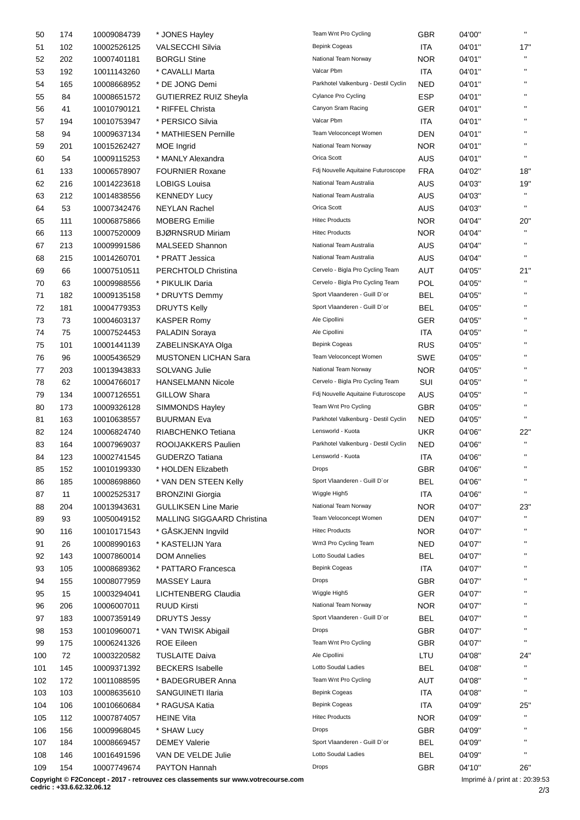| 50  | 174 | 10009084739 | * JONES Hayley                    | Team Wnt Pro Cycling                 | <b>GBR</b> | 04'00" | $\mathbf{H}$       |
|-----|-----|-------------|-----------------------------------|--------------------------------------|------------|--------|--------------------|
| 51  | 102 | 10002526125 | <b>VALSECCHI Silvia</b>           | <b>Bepink Cogeas</b>                 | <b>ITA</b> | 04'01" | 17"                |
| 52  | 202 | 10007401181 | <b>BORGLI Stine</b>               | National Team Norway                 | <b>NOR</b> | 04'01" | H,                 |
| 53  | 192 | 10011143260 | * CAVALLI Marta                   | Valcar Pbm                           | <b>ITA</b> | 04'01" | Ħ                  |
| 54  | 165 | 10008668952 | * DE JONG Demi                    | Parkhotel Valkenburg - Destil Cyclin | <b>NED</b> | 04'01" | $\mathbf{H}$       |
| 55  | 84  | 10008651572 | <b>GUTIERREZ RUIZ Sheyla</b>      | <b>Cylance Pro Cycling</b>           | <b>ESP</b> | 04'01" | $\mathbf{H}$       |
| 56  | 41  | 10010790121 | * RIFFEL Christa                  | Canyon Sram Racing                   | GER        | 04'01" | $\mathbf{H}$       |
| 57  | 194 | 10010753947 | * PERSICO Silvia                  | Valcar Pbm                           | ITA        | 04'01" |                    |
| 58  | 94  | 10009637134 | * MATHIESEN Pernille              | Team Veloconcept Women               | <b>DEN</b> | 04'01" | H,                 |
| 59  | 201 | 10015262427 | MOE Ingrid                        | National Team Norway                 | <b>NOR</b> | 04'01" | $\mathbf{H}$       |
|     |     |             |                                   | Orica Scott                          |            |        | $\mathbf{H}$       |
| 60  | 54  | 10009115253 | * MANLY Alexandra                 |                                      | <b>AUS</b> | 04'01" |                    |
| 61  | 133 | 10006578907 | <b>FOURNIER Roxane</b>            | Fdj Nouvelle Aquitaine Futuroscope   | <b>FRA</b> | 04'02" | 18"                |
| 62  | 216 | 10014223618 | <b>LOBIGS Louisa</b>              | National Team Australia              | <b>AUS</b> | 04'03" | 19"                |
| 63  | 212 | 10014838556 | <b>KENNEDY Lucy</b>               | National Team Australia              | AUS        | 04'03" | H,                 |
| 64  | 53  | 10007342476 | <b>NEYLAN Rachel</b>              | Orica Scott                          | AUS        | 04'03" | $\mathbf{H}$       |
| 65  | 111 | 10006875866 | <b>MOBERG Emilie</b>              | <b>Hitec Products</b>                | <b>NOR</b> | 04'04" | 20"                |
| 66  | 113 | 10007520009 | <b>BJØRNSRUD Miriam</b>           | <b>Hitec Products</b>                | <b>NOR</b> | 04'04" | $\bar{\mathbf{u}}$ |
| 67  | 213 | 10009991586 | MALSEED Shannon                   | National Team Australia              | <b>AUS</b> | 04'04" | $\mathbf{H}$       |
| 68  | 215 | 10014260701 | * PRATT Jessica                   | National Team Australia              | <b>AUS</b> | 04'04" | $\mathbf{H}$       |
| 69  | 66  | 10007510511 | PERCHTOLD Christina               | Cervelo - Bigla Pro Cycling Team     | <b>AUT</b> | 04'05" | 21"                |
| 70  | 63  | 10009988556 | * PIKULIK Daria                   | Cervelo - Bigla Pro Cycling Team     | <b>POL</b> | 04'05" | $\mathbf{H}$       |
| 71  | 182 | 10009135158 | * DRUYTS Demmy                    | Sport Vlaanderen - Guill D'or        | <b>BEL</b> | 04'05" | $\mathbf{u}$       |
| 72  | 181 | 10004779353 | <b>DRUYTS Kelly</b>               | Sport Vlaanderen - Guill D'or        | <b>BEL</b> | 04'05" | $\mathbf{H}$       |
| 73  | 73  | 10004603137 | <b>KASPER Romy</b>                | Ale Cipollini                        | GER        | 04'05" | $\mathbf{H}$       |
| 74  | 75  |             |                                   | Ale Cipollini                        | ITA        | 04'05" | H,                 |
|     |     | 10007524453 | PALADIN Soraya                    |                                      |            |        | $\mathbf{H}$       |
| 75  | 101 | 10001441139 | ZABELINSKAYA Olga                 | Bepink Cogeas                        | <b>RUS</b> | 04'05" | H,                 |
| 76  | 96  | 10005436529 | <b>MUSTONEN LICHAN Sara</b>       | Team Veloconcept Women               | <b>SWE</b> | 04'05" | H,                 |
| 77  | 203 | 10013943833 | <b>SOLVANG Julie</b>              | National Team Norway                 | <b>NOR</b> | 04'05" |                    |
| 78  | 62  | 10004766017 | <b>HANSELMANN Nicole</b>          | Cervelo - Bigla Pro Cycling Team     | SUI        | 04'05" | H,                 |
| 79  | 134 | 10007126551 | GILLOW Shara                      | Fdj Nouvelle Aquitaine Futuroscope   | AUS        | 04'05" | $\mathbf{H}$       |
| 80  | 173 | 10009326128 | SIMMONDS Hayley                   | Team Wnt Pro Cycling                 | <b>GBR</b> | 04'05" | H,                 |
| 81  | 163 | 10010638557 | <b>BUURMAN Eva</b>                | Parkhotel Valkenburg - Destil Cyclin | <b>NED</b> | 04'05" | $\mathbf{H}$       |
| 82  | 124 | 10006824740 | RIABCHENKO Tetiana                | Lensworld - Kuota                    | <b>UKR</b> | 04'06" | 22"                |
| 83  | 164 | 10007969037 | ROOIJAKKERS Paulien               | Parkhotel Valkenburg - Destil Cyclin | <b>NED</b> | 04'06" | $\mathbf{H}$       |
| 84  | 123 | 10002741545 | <b>GUDERZO Tatiana</b>            | Lensworld - Kuota                    | <b>ITA</b> | 04'06" | $\mathbf{H}$       |
| 85  | 152 | 10010199330 | * HOLDEN Elizabeth                | Drops                                | GBR        | 04'06" |                    |
| 86  | 185 | 10008698860 | * VAN DEN STEEN Kelly             | Sport Vlaanderen - Guill D'or        | <b>BEL</b> | 04'06" |                    |
| 87  | 11  | 10002525317 | <b>BRONZINI Giorgia</b>           | Wiggle High5                         | <b>ITA</b> | 04'06" | $\mathbf{H}$       |
| 88  | 204 | 10013943631 | <b>GULLIKSEN Line Marie</b>       | National Team Norway                 | <b>NOR</b> | 04'07" | 23"                |
| 89  | 93  |             | <b>MALLING SIGGAARD Christina</b> | Team Veloconcept Women               | DEN        | 04'07" | H,                 |
|     |     | 10050049152 |                                   |                                      |            |        | $\mathbf{H}$       |
| 90  | 116 | 10010171543 | * GÅSKJENN Ingvild                | <b>Hitec Products</b>                | <b>NOR</b> | 04'07" | $\mathbf{H}$       |
| 91  | 26  | 10008990163 | * KASTELIJN Yara                  | Wm3 Pro Cycling Team                 | <b>NED</b> | 04'07" |                    |
| 92  | 143 | 10007860014 | <b>DOM Annelies</b>               | Lotto Soudal Ladies                  | <b>BEL</b> | 04'07" | $\mathbf{H}$       |
| 93  | 105 | 10008689362 | * PATTARO Francesca               | Bepink Cogeas                        | <b>ITA</b> | 04'07" | $\mathbf{H}$       |
| 94  | 155 | 10008077959 | <b>MASSEY Laura</b>               | Drops                                | <b>GBR</b> | 04'07" | $\mathbf{H}$       |
| 95  | 15  | 10003294041 | LICHTENBERG Claudia               | Wiggle High5                         | GER        | 04'07" | $\mathbf{H}$       |
| 96  | 206 | 10006007011 | <b>RUUD Kirsti</b>                | National Team Norway                 | <b>NOR</b> | 04'07" | $\mathbf{H}$       |
| 97  | 183 | 10007359149 | <b>DRUYTS Jessy</b>               | Sport Vlaanderen - Guill D'or        | <b>BEL</b> | 04'07" | $\mathbf{H}$       |
| 98  | 153 | 10010960071 | * VAN TWISK Abigail               | Drops                                | <b>GBR</b> | 04'07" | $\mathbf{H}$       |
| 99  | 175 | 10006241326 | <b>ROE Eileen</b>                 | Team Wnt Pro Cycling                 | <b>GBR</b> | 04'07" | $\mathbf{H}$       |
| 100 | 72  | 10003220582 | <b>TUSLAITE Daiva</b>             | Ale Cipollini                        | LTU        | 04'08" | 24"                |
| 101 | 145 | 10009371392 | <b>BECKERS</b> Isabelle           | Lotto Soudal Ladies                  | <b>BEL</b> | 04'08" | $\mathbf{H}$       |
| 102 | 172 | 10011088595 | * BADEGRUBER Anna                 | Team Wnt Pro Cycling                 | AUT        | 04'08" | $\mathbf{H}$       |
| 103 | 103 |             | SANGUINETI Ilaria                 | <b>Bepink Cogeas</b>                 | ITA        | 04'08" | $\mathbf{H}$       |
|     |     | 10008635610 |                                   | <b>Bepink Cogeas</b>                 |            |        |                    |
| 104 | 106 | 10010660684 | * RAGUSA Katia                    |                                      | <b>ITA</b> | 04'09" | 25"<br>H,          |
| 105 | 112 | 10007874057 | <b>HEINE Vita</b>                 | <b>Hitec Products</b>                | <b>NOR</b> | 04'09" | $\mathbf{H}$       |
| 106 | 156 | 10009968045 | * SHAW Lucy                       | Drops                                | <b>GBR</b> | 04'09" |                    |
| 107 | 184 | 10008669457 | <b>DEMEY Valerie</b>              | Sport Vlaanderen - Guill D'or        | <b>BEL</b> | 04'09" | $\mathbf{H}$       |
| 108 | 146 | 10016491596 | VAN DE VELDE Julie                | Lotto Soudal Ladies                  | <b>BEL</b> | 04'09" |                    |
| 109 | 154 | 10007749674 | PAYTON Hannah                     | Drops                                | <b>GBR</b> | 04'10" | 26"                |